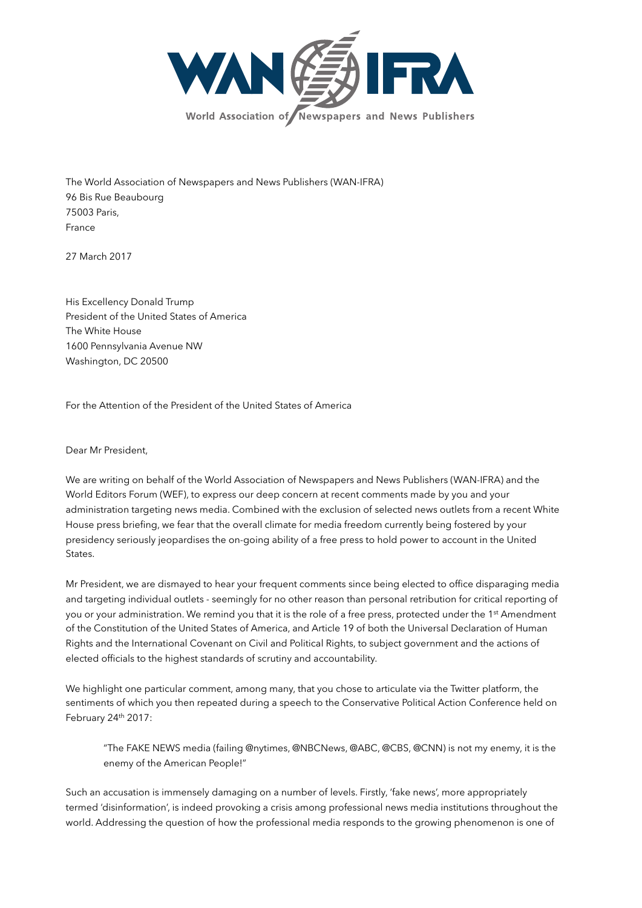

The World Association of Newspapers and News Publishers (WAN-IFRA) 96 Bis Rue Beaubourg 75003 Paris, France

27 March 2017

His Excellency Donald Trump President of the United States of America The White House 1600 Pennsylvania Avenue NW Washington, DC 20500

For the Attention of the President of the United States of America

Dear Mr President,

We are writing on behalf of the World Association of Newspapers and News Publishers (WAN-IFRA) and the World Editors Forum (WEF), to express our deep concern at recent comments made by you and your administration targeting news media. Combined with the exclusion of selected news outlets from a recent White House press briefing, we fear that the overall climate for media freedom currently being fostered by your presidency seriously jeopardises the on-going ability of a free press to hold power to account in the United States.

Mr President, we are dismayed to hear your frequent comments since being elected to office disparaging media and targeting individual outlets - seemingly for no other reason than personal retribution for critical reporting of you or your administration. We remind you that it is the role of a free press, protected under the 1<sup>st</sup> Amendment of the Constitution of the United States of America, and Article 19 of both the Universal Declaration of Human Rights and the International Covenant on Civil and Political Rights, to subject government and the actions of elected officials to the highest standards of scrutiny and accountability.

We highlight one particular comment, among many, that you chose to articulate via the Twitter platform, the sentiments of which you then repeated during a speech to the Conservative Political Action Conference held on February 24th 2017:

"The FAKE NEWS media (failing @nytimes, @NBCNews, @ABC, @CBS, @CNN) is not my enemy, it is the enemy of the American People!"

Such an accusation is immensely damaging on a number of levels. Firstly, 'fake news', more appropriately termed 'disinformation', is indeed provoking a crisis among professional news media institutions throughout the world. Addressing the question of how the professional media responds to the growing phenomenon is one of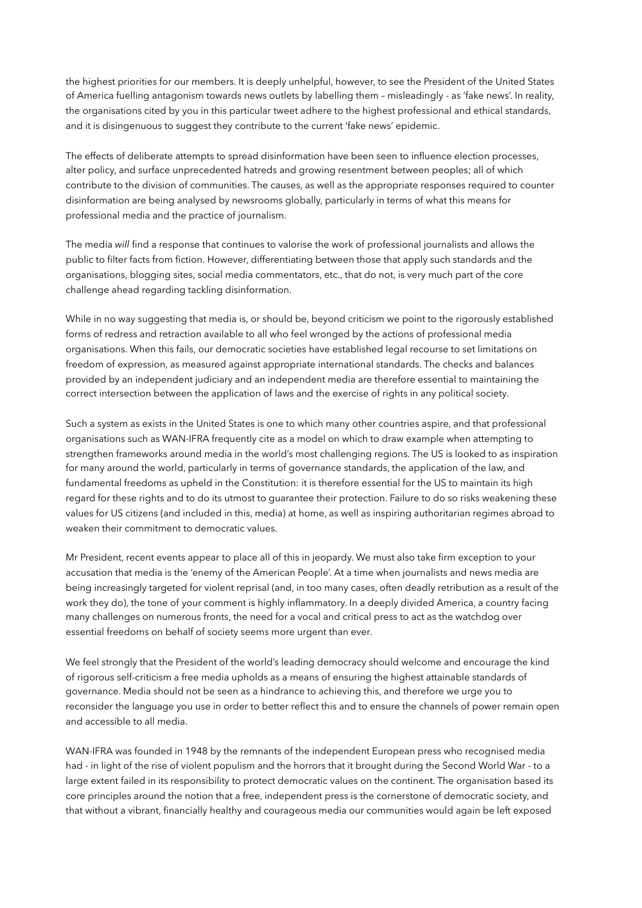the highest priorities for our members. It is deeply unhelpful, however, to see the President of the United States of America fuelling antagonism towards news outlets by labelling them – misleadingly - as 'fake news'. In reality, the organisations cited by you in this particular tweet adhere to the highest professional and ethical standards, and it is disingenuous to suggest they contribute to the current 'fake news' epidemic.

The effects of deliberate attempts to spread disinformation have been seen to influence election processes, alter policy, and surface unprecedented hatreds and growing resentment between peoples; all of which contribute to the division of communities. The causes, as well as the appropriate responses required to counter disinformation are being analysed by newsrooms globally, particularly in terms of what this means for professional media and the practice of journalism.

The media *will* find a response that continues to valorise the work of professional journalists and allows the public to filter facts from fiction. However, differentiating between those that apply such standards and the organisations, blogging sites, social media commentators, etc., that do not, is very much part of the core challenge ahead regarding tackling disinformation.

While in no way suggesting that media is, or should be, beyond criticism we point to the rigorously established forms of redress and retraction available to all who feel wronged by the actions of professional media organisations. When this fails, our democratic societies have established legal recourse to set limitations on freedom of expression, as measured against appropriate international standards. The checks and balances provided by an independent judiciary and an independent media are therefore essential to maintaining the correct intersection between the application of laws and the exercise of rights in any political society.

Such a system as exists in the United States is one to which many other countries aspire, and that professional organisations such as WAN-IFRA frequently cite as a model on which to draw example when attempting to strengthen frameworks around media in the world's most challenging regions. The US is looked to as inspiration for many around the world, particularly in terms of governance standards, the application of the law, and fundamental freedoms as upheld in the Constitution: it is therefore essential for the US to maintain its high regard for these rights and to do its utmost to guarantee their protection. Failure to do so risks weakening these values for US citizens (and included in this, media) at home, as well as inspiring authoritarian regimes abroad to weaken their commitment to democratic values.

Mr President, recent events appear to place all of this in jeopardy. We must also take firm exception to your accusation that media is the 'enemy of the American People'. At a time when journalists and news media are being increasingly targeted for violent reprisal (and, in too many cases, often deadly retribution as a result of the work they do), the tone of your comment is highly inflammatory. In a deeply divided America, a country facing many challenges on numerous fronts, the need for a vocal and critical press to act as the watchdog over essential freedoms on behalf of society seems more urgent than ever.

We feel strongly that the President of the world's leading democracy should welcome and encourage the kind of rigorous self-criticism a free media upholds as a means of ensuring the highest attainable standards of governance. Media should not be seen as a hindrance to achieving this, and therefore we urge you to reconsider the language you use in order to better reflect this and to ensure the channels of power remain open and accessible to all media.

WAN-IFRA was founded in 1948 by the remnants of the independent European press who recognised media had - in light of the rise of violent populism and the horrors that it brought during the Second World War - to a large extent failed in its responsibility to protect democratic values on the continent. The organisation based its core principles around the notion that a free, independent press is the cornerstone of democratic society, and that without a vibrant, financially healthy and courageous media our communities would again be left exposed